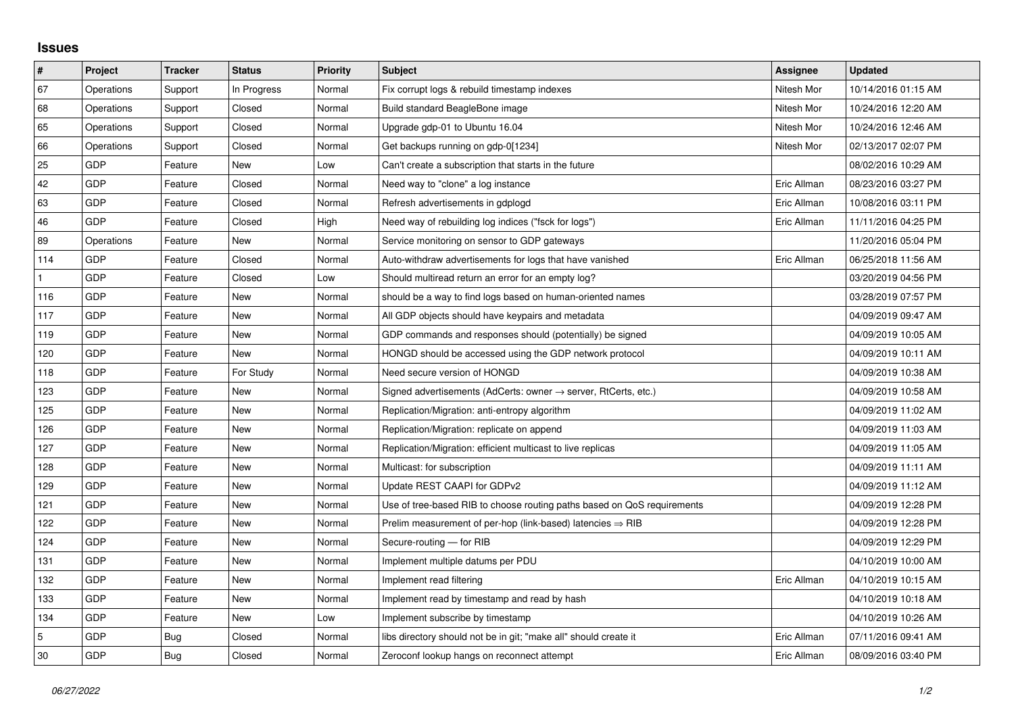## **Issues**

| $\vert$ #    | Project    | <b>Tracker</b> | <b>Status</b> | <b>Priority</b> | <b>Subject</b>                                                             | Assignee    | <b>Updated</b>      |
|--------------|------------|----------------|---------------|-----------------|----------------------------------------------------------------------------|-------------|---------------------|
| 67           | Operations | Support        | In Progress   | Normal          | Fix corrupt logs & rebuild timestamp indexes                               | Nitesh Mor  | 10/14/2016 01:15 AM |
| 68           | Operations | Support        | Closed        | Normal          | Build standard BeagleBone image                                            | Nitesh Mor  | 10/24/2016 12:20 AM |
| 65           | Operations | Support        | Closed        | Normal          | Upgrade gdp-01 to Ubuntu 16.04                                             | Nitesh Mor  | 10/24/2016 12:46 AM |
| 66           | Operations | Support        | Closed        | Normal          | Get backups running on gdp-0[1234]                                         | Nitesh Mor  | 02/13/2017 02:07 PM |
| 25           | GDP        | Feature        | New           | Low             | Can't create a subscription that starts in the future                      |             | 08/02/2016 10:29 AM |
| 42           | <b>GDP</b> | Feature        | Closed        | Normal          | Need way to "clone" a log instance                                         | Eric Allman | 08/23/2016 03:27 PM |
| 63           | <b>GDP</b> | Feature        | Closed        | Normal          | Refresh advertisements in gdplogd                                          | Eric Allman | 10/08/2016 03:11 PM |
| 46           | GDP        | Feature        | Closed        | High            | Need way of rebuilding log indices ("fsck for logs")                       | Eric Allman | 11/11/2016 04:25 PM |
| 89           | Operations | Feature        | New           | Normal          | Service monitoring on sensor to GDP gateways                               |             | 11/20/2016 05:04 PM |
| 114          | GDP        | Feature        | Closed        | Normal          | Auto-withdraw advertisements for logs that have vanished                   | Eric Allman | 06/25/2018 11:56 AM |
| $\mathbf{1}$ | <b>GDP</b> | Feature        | Closed        | Low             | Should multiread return an error for an empty log?                         |             | 03/20/2019 04:56 PM |
| 116          | <b>GDP</b> | Feature        | New           | Normal          | should be a way to find logs based on human-oriented names                 |             | 03/28/2019 07:57 PM |
| 117          | GDP        | Feature        | New           | Normal          | All GDP objects should have keypairs and metadata                          |             | 04/09/2019 09:47 AM |
| 119          | GDP        | Feature        | New           | Normal          | GDP commands and responses should (potentially) be signed                  |             | 04/09/2019 10:05 AM |
| 120          | <b>GDP</b> | Feature        | <b>New</b>    | Normal          | HONGD should be accessed using the GDP network protocol                    |             | 04/09/2019 10:11 AM |
| 118          | <b>GDP</b> | Feature        | For Study     | Normal          | Need secure version of HONGD                                               |             | 04/09/2019 10:38 AM |
| 123          | GDP        | Feature        | New           | Normal          | Signed advertisements (AdCerts: owner $\rightarrow$ server, RtCerts, etc.) |             | 04/09/2019 10:58 AM |
| 125          | <b>GDP</b> | Feature        | New           | Normal          | Replication/Migration: anti-entropy algorithm                              |             | 04/09/2019 11:02 AM |
| 126          | <b>GDP</b> | Feature        | New           | Normal          | Replication/Migration: replicate on append                                 |             | 04/09/2019 11:03 AM |
| 127          | GDP        | Feature        | New           | Normal          | Replication/Migration: efficient multicast to live replicas                |             | 04/09/2019 11:05 AM |
| 128          | <b>GDP</b> | Feature        | <b>New</b>    | Normal          | Multicast: for subscription                                                |             | 04/09/2019 11:11 AM |
| 129          | <b>GDP</b> | Feature        | New           | Normal          | Update REST CAAPI for GDPv2                                                |             | 04/09/2019 11:12 AM |
| 121          | GDP        | Feature        | <b>New</b>    | Normal          | Use of tree-based RIB to choose routing paths based on QoS requirements    |             | 04/09/2019 12:28 PM |
| 122          | <b>GDP</b> | Feature        | New           | Normal          | Prelim measurement of per-hop (link-based) latencies $\Rightarrow$ RIB     |             | 04/09/2019 12:28 PM |
| 124          | <b>GDP</b> | Feature        | <b>New</b>    | Normal          | Secure-routing - for RIB                                                   |             | 04/09/2019 12:29 PM |
| 131          | GDP        | Feature        | <b>New</b>    | Normal          | Implement multiple datums per PDU                                          |             | 04/10/2019 10:00 AM |
| 132          | <b>GDP</b> | Feature        | New           | Normal          | Implement read filtering                                                   | Eric Allman | 04/10/2019 10:15 AM |
| 133          | <b>GDP</b> | Feature        | New           | Normal          | Implement read by timestamp and read by hash                               |             | 04/10/2019 10:18 AM |
| 134          | GDP        | Feature        | New           | Low             | Implement subscribe by timestamp                                           |             | 04/10/2019 10:26 AM |
| 5            | <b>GDP</b> | Bug            | Closed        | Normal          | libs directory should not be in git; "make all" should create it           | Eric Allman | 07/11/2016 09:41 AM |
| 30           | <b>GDP</b> | Bug            | Closed        | Normal          | Zeroconf lookup hangs on reconnect attempt                                 | Eric Allman | 08/09/2016 03:40 PM |